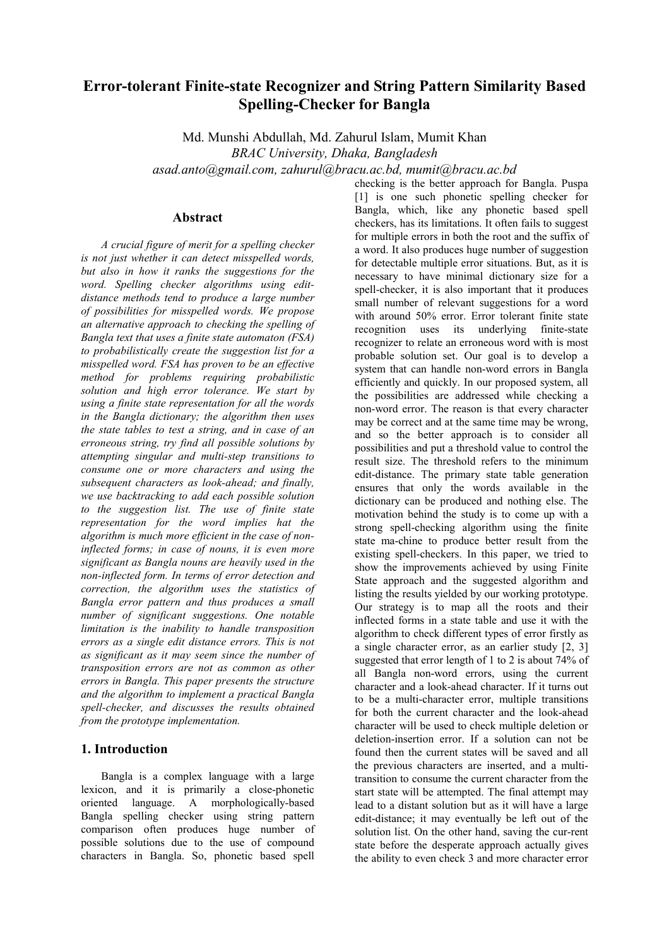# Error-tolerant Finite-state Recognizer and String Pattern Similarity Based Spelling-Checker for Bangla

Md. Munshi Abdullah, Md. Zahurul Islam, Mumit Khan BRAC University, Dhaka, Bangladesh asad.anto@gmail.com, zahurul@bracu.ac.bd, mumit@bracu.ac.bd

#### Abstract

A crucial figure of merit for a spelling checker is not just whether it can detect misspelled words, but also in how it ranks the suggestions for the word. Spelling checker algorithms using editdistance methods tend to produce a large number of possibilities for misspelled words. We propose an alternative approach to checking the spelling of Bangla text that uses a finite state automaton (FSA) to probabilistically create the suggestion list for a misspelled word. FSA has proven to be an effective method for problems requiring probabilistic solution and high error tolerance. We start by using a finite state representation for all the words in the Bangla dictionary; the algorithm then uses the state tables to test a string, and in case of an erroneous string, try find all possible solutions by attempting singular and multi-step transitions to consume one or more characters and using the subsequent characters as look-ahead; and finally, we use backtracking to add each possible solution to the suggestion list. The use of finite state representation for the word implies hat the algorithm is much more efficient in the case of noninflected forms; in case of nouns, it is even more significant as Bangla nouns are heavily used in the non-inflected form. In terms of error detection and correction, the algorithm uses the statistics of Bangla error pattern and thus produces a small number of significant suggestions. One notable limitation is the inability to handle transposition errors as a single edit distance errors. This is not as significant as it may seem since the number of transposition errors are not as common as other errors in Bangla. This paper presents the structure and the algorithm to implement a practical Bangla spell-checker, and discusses the results obtained from the prototype implementation.

## 1. Introduction

Bangla is a complex language with a large lexicon, and it is primarily a close-phonetic oriented language. A morphologically-based Bangla spelling checker using string pattern comparison often produces huge number of possible solutions due to the use of compound characters in Bangla. So, phonetic based spell checking is the better approach for Bangla. Puspa [1] is one such phonetic spelling checker for Bangla, which, like any phonetic based spell checkers, has its limitations. It often fails to suggest for multiple errors in both the root and the suffix of a word. It also produces huge number of suggestion for detectable multiple error situations. But, as it is necessary to have minimal dictionary size for a spell-checker, it is also important that it produces small number of relevant suggestions for a word with around 50% error. Error tolerant finite state recognition uses its underlying finite-state recognizer to relate an erroneous word with is most probable solution set. Our goal is to develop a system that can handle non-word errors in Bangla efficiently and quickly. In our proposed system, all the possibilities are addressed while checking a non-word error. The reason is that every character may be correct and at the same time may be wrong, and so the better approach is to consider all possibilities and put a threshold value to control the result size. The threshold refers to the minimum edit-distance. The primary state table generation ensures that only the words available in the dictionary can be produced and nothing else. The motivation behind the study is to come up with a strong spell-checking algorithm using the finite state ma-chine to produce better result from the existing spell-checkers. In this paper, we tried to show the improvements achieved by using Finite State approach and the suggested algorithm and listing the results yielded by our working prototype. Our strategy is to map all the roots and their inflected forms in a state table and use it with the algorithm to check different types of error firstly as a single character error, as an earlier study [2, 3] suggested that error length of 1 to 2 is about 74% of all Bangla non-word errors, using the current character and a look-ahead character. If it turns out to be a multi-character error, multiple transitions for both the current character and the look-ahead character will be used to check multiple deletion or deletion-insertion error. If a solution can not be found then the current states will be saved and all the previous characters are inserted, and a multitransition to consume the current character from the start state will be attempted. The final attempt may lead to a distant solution but as it will have a large edit-distance; it may eventually be left out of the solution list. On the other hand, saving the cur-rent state before the desperate approach actually gives the ability to even check 3 and more character error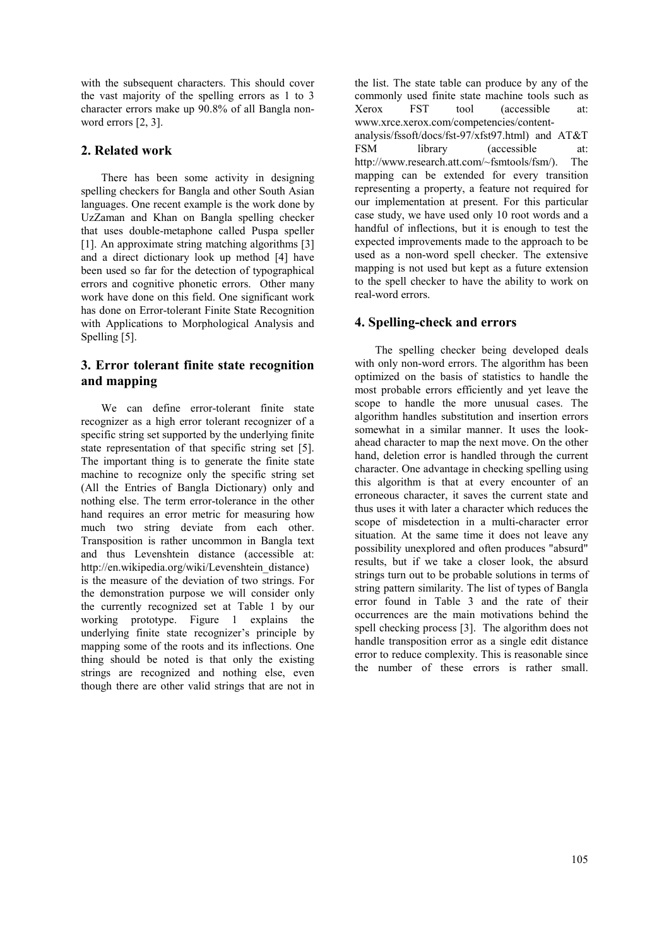with the subsequent characters. This should cover the vast majority of the spelling errors as 1 to 3 character errors make up 90.8% of all Bangla nonword errors [2, 3].

## 2. Related work

There has been some activity in designing spelling checkers for Bangla and other South Asian languages. One recent example is the work done by UzZaman and Khan on Bangla spelling checker that uses double-metaphone called Puspa speller [1]. An approximate string matching algorithms [3] and a direct dictionary look up method [4] have been used so far for the detection of typographical errors and cognitive phonetic errors. Other many work have done on this field. One significant work has done on Error-tolerant Finite State Recognition with Applications to Morphological Analysis and Spelling [5].

## 3. Error tolerant finite state recognition and mapping

We can define error-tolerant finite state recognizer as a high error tolerant recognizer of a specific string set supported by the underlying finite state representation of that specific string set [5]. The important thing is to generate the finite state machine to recognize only the specific string set (All the Entries of Bangla Dictionary) only and nothing else. The term error-tolerance in the other hand requires an error metric for measuring how much two string deviate from each other. Transposition is rather uncommon in Bangla text and thus Levenshtein distance (accessible at: http://en.wikipedia.org/wiki/Levenshtein\_distance) is the measure of the deviation of two strings. For the demonstration purpose we will consider only the currently recognized set at Table 1 by our working prototype. Figure 1 explains the underlying finite state recognizer's principle by mapping some of the roots and its inflections. One thing should be noted is that only the existing strings are recognized and nothing else, even though there are other valid strings that are not in the list. The state table can produce by any of the commonly used finite state machine tools such as Xerox FST tool (accessible at: www.xrce.xerox.com/competencies/contentanalysis/fssoft/docs/fst-97/xfst97.html) and AT&T FSM library (accessible at: http://www.research.att.com/~fsmtools/fsm/). The mapping can be extended for every transition representing a property, a feature not required for our implementation at present. For this particular case study, we have used only 10 root words and a handful of inflections, but it is enough to test the expected improvements made to the approach to be used as a non-word spell checker. The extensive mapping is not used but kept as a future extension to the spell checker to have the ability to work on real-word errors.

## 4. Spelling-check and errors

The spelling checker being developed deals with only non-word errors. The algorithm has been optimized on the basis of statistics to handle the most probable errors efficiently and yet leave the scope to handle the more unusual cases. The algorithm handles substitution and insertion errors somewhat in a similar manner. It uses the lookahead character to map the next move. On the other hand, deletion error is handled through the current character. One advantage in checking spelling using this algorithm is that at every encounter of an erroneous character, it saves the current state and thus uses it with later a character which reduces the scope of misdetection in a multi-character error situation. At the same time it does not leave any possibility unexplored and often produces "absurd" results, but if we take a closer look, the absurd strings turn out to be probable solutions in terms of string pattern similarity. The list of types of Bangla error found in Table 3 and the rate of their occurrences are the main motivations behind the spell checking process [3]. The algorithm does not handle transposition error as a single edit distance error to reduce complexity. This is reasonable since the number of these errors is rather small.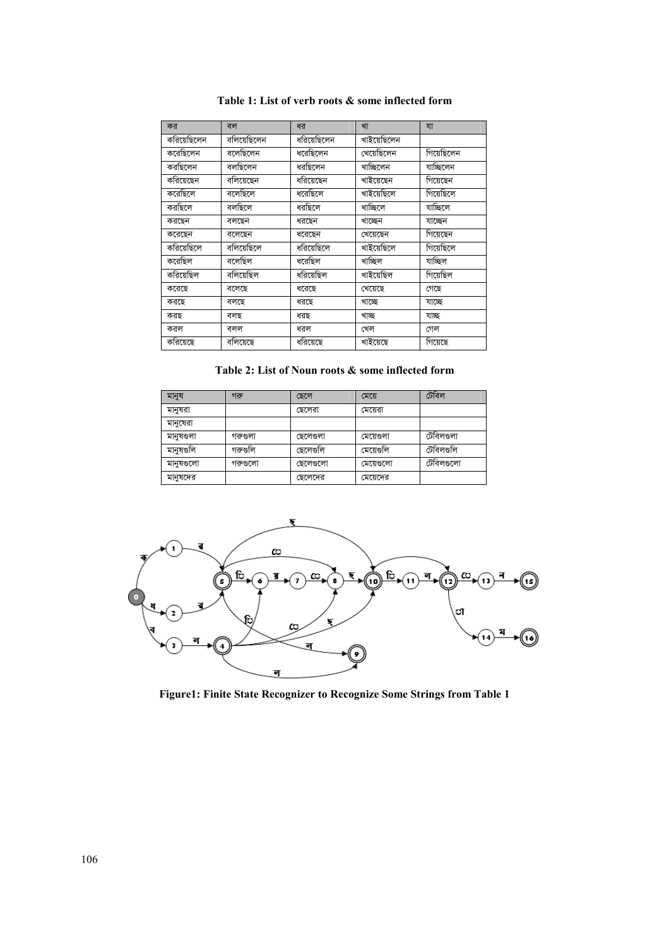| কর          | বল                    | ধর          | খা          | যা         |
|-------------|-----------------------|-------------|-------------|------------|
| করিয়েছিলেন | বলিয়েছিলেন           | ধরিয়েছিলেন | খাইয়েছিলেন |            |
| করেছিলেন    | বলেছিলেন              | ষরেছিলেন    | খেয়েছিলেন  | গিয়েছিলেন |
| করছিলেন     | বলছিলেন               | ষরছিলেন     | খাচ্ছিলেন   | যাচ্ছিলেন  |
| করিয়েছেন   | বলিয়েছেন             | ধরিয়েছেন   | খাইয়েছেন   | গিয়েছেন   |
| করেছিলে     | $\overline{a}$ লেছিলে | ধরেছিলে     | খাইয়েছিলে  | গিয়েছিলে  |
| করছিলে      | বলছিলে                | ষরছিলে      | খাচ্ছিলে    | যাচ্ছিলে   |
| করছেন       | বলছেন                 | ধরছেন       | খাচ্ছেন     | যাচ্ছেন    |
| করেছেন      | বলেছেন                | ধরেছেন      | খেয়েছেন    | গিয়েছেন   |
| করিয়েছিলে  | বলিয়েছিলে            | ধরিয়েছিলে  | খাইয়েছিলে  | গিয়েছিলে  |
| করেছিল      | বলেছিল                | ধরেছিল      | খাচ্ছিল     | যাচ্ছিল    |
| করিয়েছিল   | বলিয়েছিল             | ধরিয়েছিল   | খাইয়েছিল   | গিয়েছিল   |
| করেছে       | বলেছে                 | ধরেছে       | খেয়েছে     | গেছে       |
| করছে        | বলছে                  | ধরছে        | খাচ্ছে      | যাচ্ছে     |
| করছ         | বলছ                   | ধরছ         | খাছ         | যাচ্ছ      |
| করল         | বলল                   | ধরল         | খেল         | গেল        |
| করিয়েছে    | বলিয়েছে              | ধরিয়েছে    | খাইয়েছে    | গিয়েছে    |

Table 1: List of verb roots & some inflected form

### Table 2: List of Noun roots  $\&$  some inflected form

| মানুষ     | গরু      | ছেলে      | মেয়ে     | টেবিল     |
|-----------|----------|-----------|-----------|-----------|
| মানুষরা   |          | ছেলেরা    | মেয়েরা   |           |
| মানুষেরা  |          |           |           |           |
| মানুষগুলা | গরুণ্ডলা | ছেলেণ্ডলা | মেয়েগুলা | টেবিলগুলা |
| মানুষগুলি | গরুগুলি  | ছেলেণ্ডলি | মেয়েগুলি | টেবিলগুলি |
| মানুষগুলো | গরুগুলো  | ছেলেণ্ডলো | মেয়েগুলো | টেবিলগুলো |
| মানুষদের  |          | ছেলেদের   | মেয়েদের  |           |



Figure1: Finite State Recognizer to Recognize Some Strings from Table 1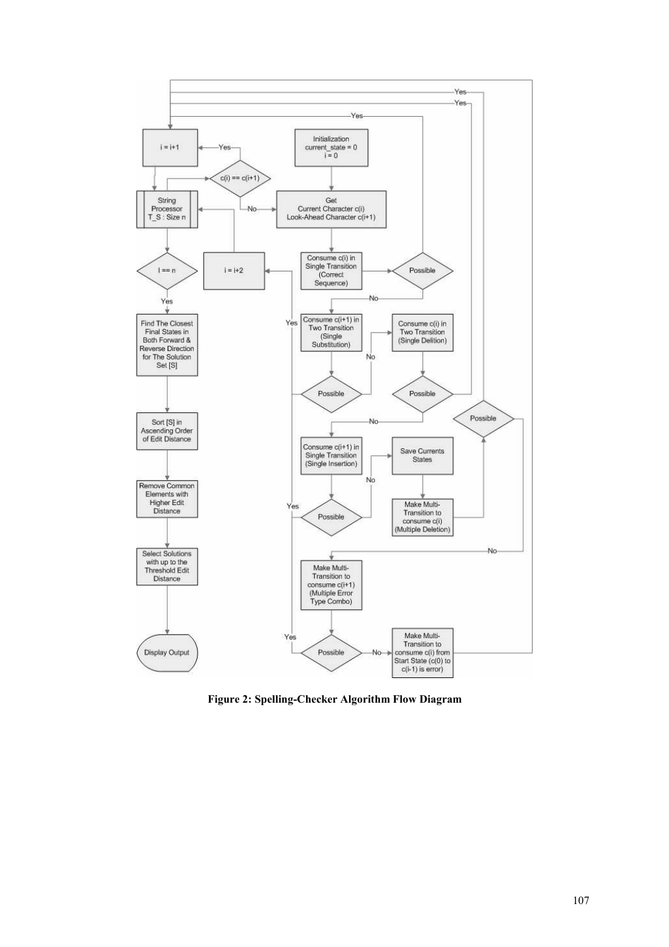

Figure 2: Spelling-Checker Algorithm Flow Diagram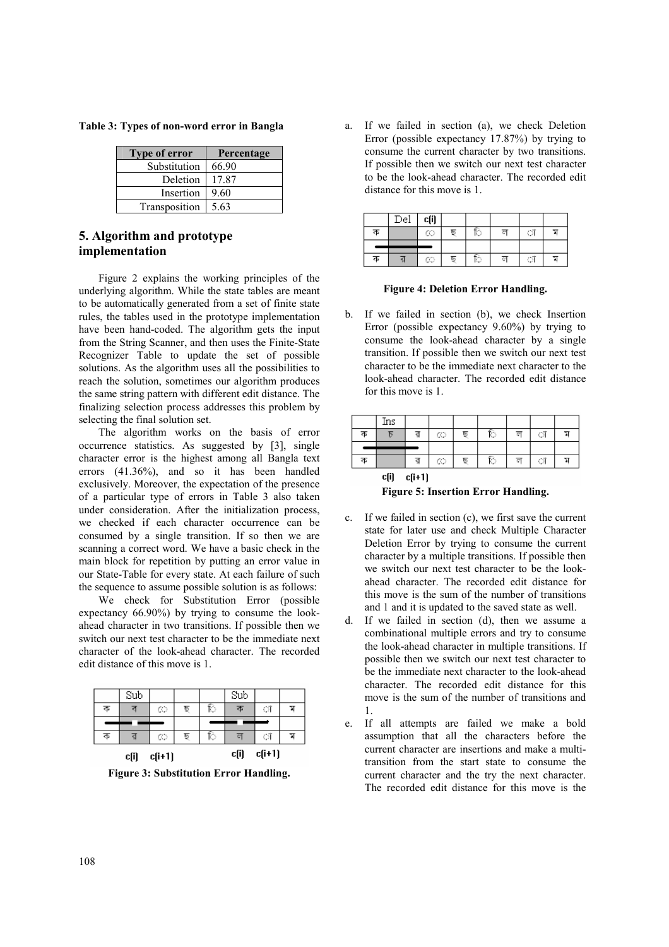Table 3: Types of non-word error in Bangla

| <b>Type of error</b> | Percentage |
|----------------------|------------|
| Substitution         | 66.90      |
| Deletion             | 17.87      |
| Insertion            | 9.60       |
| Transposition        | 5.63       |

### 5. Algorithm and prototype implementation

Figure 2 explains the working principles of the underlying algorithm. While the state tables are meant to be automatically generated from a set of finite state rules, the tables used in the prototype implementation have been hand-coded. The algorithm gets the input from the String Scanner, and then uses the Finite-State Recognizer Table to update the set of possible solutions. As the algorithm uses all the possibilities to reach the solution, sometimes our algorithm produces the same string pattern with different edit distance. The finalizing selection process addresses this problem by selecting the final solution set.

The algorithm works on the basis of error occurrence statistics. As suggested by [3], single character error is the highest among all Bangla text errors (41.36%), and so it has been handled exclusively. Moreover, the expectation of the presence of a particular type of errors in Table 3 also taken under consideration. After the initialization process, we checked if each character occurrence can be consumed by a single transition. If so then we are scanning a correct word. We have a basic check in the main block for repetition by putting an error value in our State-Table for every state. At each failure of such the sequence to assume possible solution is as follows:

We check for Substitution Error (possible expectancy 66.90%) by trying to consume the lookahead character in two transitions. If possible then we switch our next test character to be the immediate next character of the look-ahead character. The recorded edit distance of this move is 1.

|   | c[i] | $c(i+1)$ |     |    | c[i] | $c[i+1]$ |  |
|---|------|----------|-----|----|------|----------|--|
| ক |      | œ        | চ্য | R) | ল    | ां       |  |
|   |      |          |     |    |      |          |  |
| ক | ব    | C        | চ্য | Ю  | ক    | O)       |  |
|   | Sub  |          |     |    | Sub  |          |  |

Figure 3: Substitution Error Handling.

a. If we failed in section (a), we check Deletion Error (possible expectancy 17.87%) by trying to consume the current character by two transitions. If possible then we switch our next test character to be the look-ahead character. The recorded edit distance for this move is 1.

|   | $_{\rm Del}$ | c(i) |     |    |   |    |   |
|---|--------------|------|-----|----|---|----|---|
| ক |              | œ    | ছ   | R) | ल | O  | ম |
|   |              |      |     |    |   |    |   |
| ক |              | œ    | চ্য | R) | ल | ۄ, | ы |

Figure 4: Deletion Error Handling.

b. If we failed in section (b), we check Insertion Error (possible expectancy 9.60%) by trying to consume the look-ahead character by a single transition. If possible then we switch our next test character to be the immediate next character to the look-ahead character. The recorded edit distance for this move is 1.

|   | Ins  |          |   |     |   |   |                         |      |
|---|------|----------|---|-----|---|---|-------------------------|------|
| ক |      |          | œ | চ্য | Ю | ਕ | $\langle \cdot \rangle$ | P.   |
|   |      |          |   |     |   |   |                         |      |
| ক |      |          | œ | চ্য | ি | ਟ | $\sim$ $\mu$            | - 21 |
|   | c[i] | $c[i+1]$ |   |     |   |   |                         |      |

Figure 5: Insertion Error Handling.

- c. If we failed in section (c), we first save the current state for later use and check Multiple Character Deletion Error by trying to consume the current character by a multiple transitions. If possible then we switch our next test character to be the lookahead character. The recorded edit distance for this move is the sum of the number of transitions and 1 and it is updated to the saved state as well.
- d. If we failed in section (d), then we assume a combinational multiple errors and try to consume the look-ahead character in multiple transitions. If possible then we switch our next test character to be the immediate next character to the look-ahead character. The recorded edit distance for this move is the sum of the number of transitions and 1.
- e. If all attempts are failed we make a bold assumption that all the characters before the current character are insertions and make a multitransition from the start state to consume the current character and the try the next character. The recorded edit distance for this move is the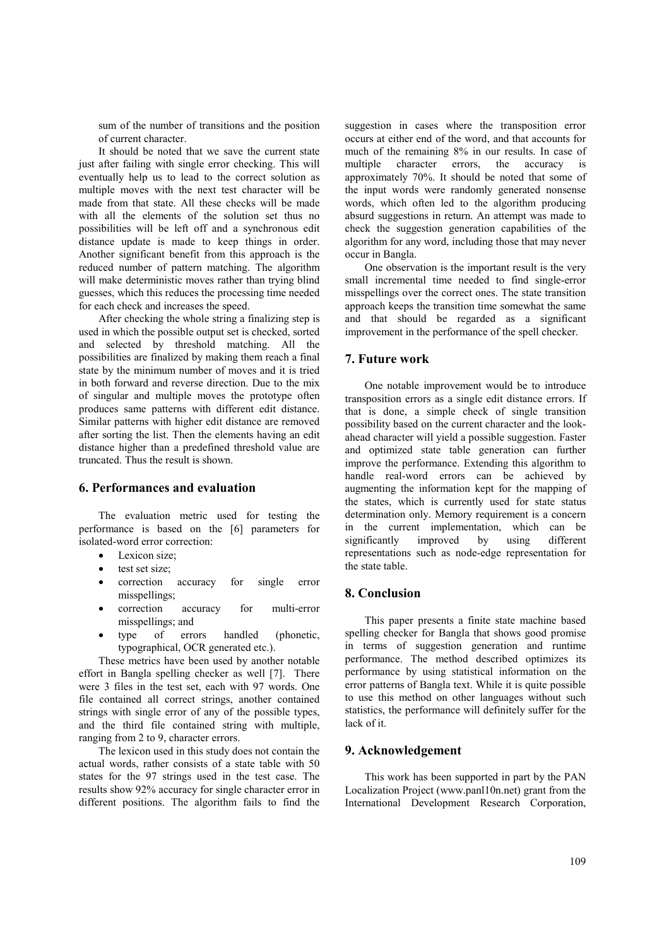sum of the number of transitions and the position of current character.

It should be noted that we save the current state just after failing with single error checking. This will eventually help us to lead to the correct solution as multiple moves with the next test character will be made from that state. All these checks will be made with all the elements of the solution set thus no possibilities will be left off and a synchronous edit distance update is made to keep things in order. Another significant benefit from this approach is the reduced number of pattern matching. The algorithm will make deterministic moves rather than trying blind guesses, which this reduces the processing time needed for each check and increases the speed.

After checking the whole string a finalizing step is used in which the possible output set is checked, sorted and selected by threshold matching. All the possibilities are finalized by making them reach a final state by the minimum number of moves and it is tried in both forward and reverse direction. Due to the mix of singular and multiple moves the prototype often produces same patterns with different edit distance. Similar patterns with higher edit distance are removed after sorting the list. Then the elements having an edit distance higher than a predefined threshold value are truncated. Thus the result is shown.

#### 6. Performances and evaluation

The evaluation metric used for testing the performance is based on the [6] parameters for isolated-word error correction:

- Lexicon size;
- test set size;
- correction accuracy for single error misspellings;
- correction accuracy for multi-error misspellings; and
- type of errors handled (phonetic, typographical, OCR generated etc.).

These metrics have been used by another notable effort in Bangla spelling checker as well [7]. There were 3 files in the test set, each with 97 words. One file contained all correct strings, another contained strings with single error of any of the possible types, and the third file contained string with multiple, ranging from 2 to 9, character errors.

The lexicon used in this study does not contain the actual words, rather consists of a state table with 50 states for the 97 strings used in the test case. The results show 92% accuracy for single character error in different positions. The algorithm fails to find the suggestion in cases where the transposition error occurs at either end of the word, and that accounts for much of the remaining 8% in our results. In case of multiple character errors, the accuracy is approximately 70%. It should be noted that some of the input words were randomly generated nonsense words, which often led to the algorithm producing absurd suggestions in return. An attempt was made to check the suggestion generation capabilities of the algorithm for any word, including those that may never occur in Bangla.

One observation is the important result is the very small incremental time needed to find single-error misspellings over the correct ones. The state transition approach keeps the transition time somewhat the same and that should be regarded as a significant improvement in the performance of the spell checker.

#### 7. Future work

One notable improvement would be to introduce transposition errors as a single edit distance errors. If that is done, a simple check of single transition possibility based on the current character and the lookahead character will yield a possible suggestion. Faster and optimized state table generation can further improve the performance. Extending this algorithm to handle real-word errors can be achieved by augmenting the information kept for the mapping of the states, which is currently used for state status determination only. Memory requirement is a concern in the current implementation, which can be significantly improved by using different representations such as node-edge representation for the state table.

#### 8. Conclusion

This paper presents a finite state machine based spelling checker for Bangla that shows good promise in terms of suggestion generation and runtime performance. The method described optimizes its performance by using statistical information on the error patterns of Bangla text. While it is quite possible to use this method on other languages without such statistics, the performance will definitely suffer for the lack of it.

### 9. Acknowledgement

This work has been supported in part by the PAN Localization Project (www.panl10n.net) grant from the International Development Research Corporation,